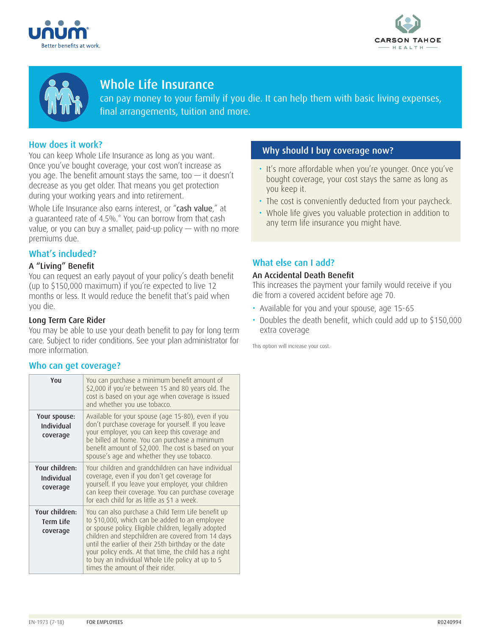





# Whole Life Insurance

can pay money to your family if you die. It can help them with basic living expenses, final arrangements, tuition and more.

## How does it work?

You can keep Whole Life Insurance as long as you want. Once you've bought coverage, your cost won't increase as you age. The benefit amount stays the same, too  $-$  it doesn't decrease as you get older. That means you get protection during your working years and into retirement.

Whole Life Insurance also earns interest, or "cash value," at a guaranteed rate of 4.5%.\* You can borrow from that cash value, or you can buy a smaller, paid-up policy  $-$  with no more premiums due.

# What's included?

### A "Living" Benefit

You can request an early payout of your policy's death benefit (up to \$150,000 maximum) if you're expected to live 12 months or less. It would reduce the benefit that's paid when you die.

### Long Term Care Rider

You may be able to use your death benefit to pay for long term care. Subject to rider conditions. See your plan administrator for more information.

### Who can get coverage?

| You                                      | You can purchase a minimum benefit amount of<br>\$2,000 if you're between 15 and 80 years old. The<br>cost is based on your age when coverage is issued<br>and whether you use tobacco.                                                                                                                                                                                                                                      |
|------------------------------------------|------------------------------------------------------------------------------------------------------------------------------------------------------------------------------------------------------------------------------------------------------------------------------------------------------------------------------------------------------------------------------------------------------------------------------|
| Your spouse:<br>Individual<br>coverage   | Available for your spouse (age 15-80), even if you<br>don't purchase coverage for yourself. If you leave<br>your employer, you can keep this coverage and<br>be billed at home. You can purchase a minimum<br>benefit amount of \$2,000. The cost is based on your<br>spouse's age and whether they use tobacco.                                                                                                             |
| Your children:<br>Individual<br>coverage | Your children and grandchildren can have individual<br>coverage, even if you don't get coverage for<br>yourself. If you leave your employer, your children<br>can keep their coverage. You can purchase coverage<br>for each child for as little as \$1 a week.                                                                                                                                                              |
| Your children:<br>Term Life<br>coverage  | You can also purchase a Child Term Life benefit up<br>to \$10,000, which can be added to an employee<br>or spouse policy. Eligible children, legally adopted<br>children and stepchildren are covered from 14 days<br>until the earlier of their 25th birthday or the date<br>your policy ends. At that time, the child has a right<br>to buy an individual Whole Life policy at up to 5<br>times the amount of their rider. |

### Why should I buy coverage now?

- It's more affordable when you're younger. Once you've bought coverage, your cost stays the same as long as you keep it.
- The cost is conveniently deducted from your paycheck.
- Whole life gives you valuable protection in addition to any term life insurance you might have.

### What else can I add?

### An Accidental Death Benefit

This increases the payment your family would receive if you die from a covered accident before age 70.

- Available for you and your spouse, age 15-65
- Doubles the death benefit, which could add up to \$150,000 extra coverage

This option will increase your cost.